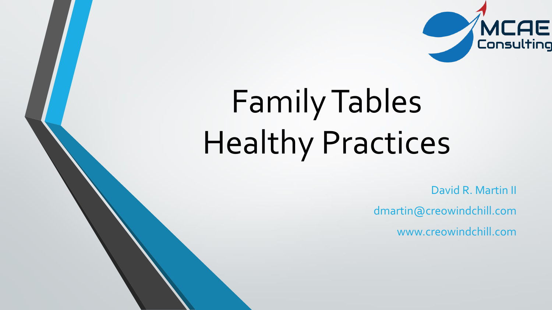

## Family Tables Healthy Practices

David R. Martin II dmartin@creowindchill.com www.creowindchill.com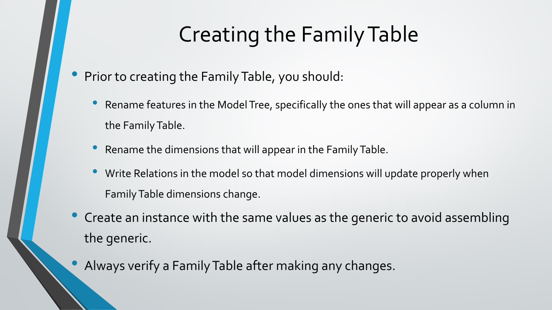## Creating the Family Table

- Prior to creating the Family Table, you should:
	- Rename features in the Model Tree, specifically the ones that will appear as a column in the Family Table.
	- Rename the dimensions that will appear in the Family Table.
	- Write Relations in the model so that model dimensions will update properly when Family Table dimensions change.
- Create an instance with the same values as the generic to avoid assembling the generic.
- Always verify a Family Table after making any changes.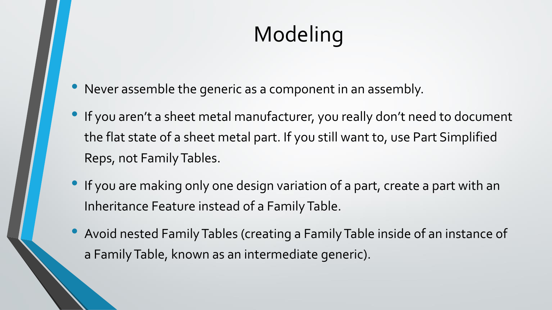## Modeling

- Never assemble the generic as a component in an assembly.
- If you aren't a sheet metal manufacturer, you really don't need to document the flat state of a sheet metal part. If you still want to, use Part Simplified Reps, not Family Tables.
- If you are making only one design variation of a part, create a part with an Inheritance Feature instead of a Family Table.
- Avoid nested Family Tables (creating a Family Table inside of an instance of a Family Table, known as an intermediate generic).